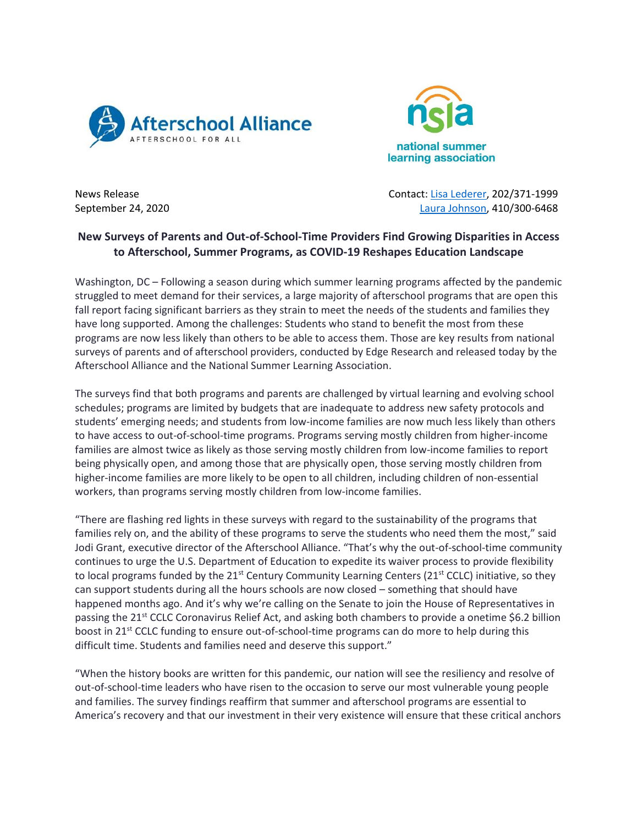



News Release Contact: [Lisa Lederer,](mailto:lisa@prsolutionsdc.com) 202/371-1999 September 24, 2020 **[Laura Johnson,](mailto:ljohnson@summerlearning.org) 410/300-6468** 

## **New Surveys of Parents and Out-of-School-Time Providers Find Growing Disparities in Access to Afterschool, Summer Programs, as COVID-19 Reshapes Education Landscape**

Washington, DC – Following a season during which summer learning programs affected by the pandemic struggled to meet demand for their services, a large majority of afterschool programs that are open this fall report facing significant barriers as they strain to meet the needs of the students and families they have long supported. Among the challenges: Students who stand to benefit the most from these programs are now less likely than others to be able to access them. Those are key results from national surveys of parents and of afterschool providers, conducted by Edge Research and released today by the Afterschool Alliance and the National Summer Learning Association.

The surveys find that both programs and parents are challenged by virtual learning and evolving school schedules; programs are limited by budgets that are inadequate to address new safety protocols and students' emerging needs; and students from low-income families are now much less likely than others to have access to out-of-school-time programs. Programs serving mostly children from higher-income families are almost twice as likely as those serving mostly children from low-income families to report being physically open, and among those that are physically open, those serving mostly children from higher-income families are more likely to be open to all children, including children of non-essential workers, than programs serving mostly children from low-income families.

"There are flashing red lights in these surveys with regard to the sustainability of the programs that families rely on, and the ability of these programs to serve the students who need them the most," said Jodi Grant, executive director of the Afterschool Alliance. "That's why the out-of-school-time community continues to urge the U.S. Department of Education to expedite its waiver process to provide flexibility to local programs funded by the  $21^{st}$  Century Community Learning Centers ( $21^{st}$  CCLC) initiative, so they can support students during all the hours schools are now closed – something that should have happened months ago. And it's why we're calling on the Senate to join the House of Representatives in passing the 21<sup>st</sup> CCLC Coronavirus Relief Act, and asking both chambers to provide a onetime \$6.2 billion boost in 21<sup>st</sup> CCLC funding to ensure out-of-school-time programs can do more to help during this difficult time. Students and families need and deserve this support."

"When the history books are written for this pandemic, our nation will see the resiliency and resolve of out-of-school-time leaders who have risen to the occasion to serve our most vulnerable young people and families. The survey findings reaffirm that summer and afterschool programs are essential to America's recovery and that our investment in their very existence will ensure that these critical anchors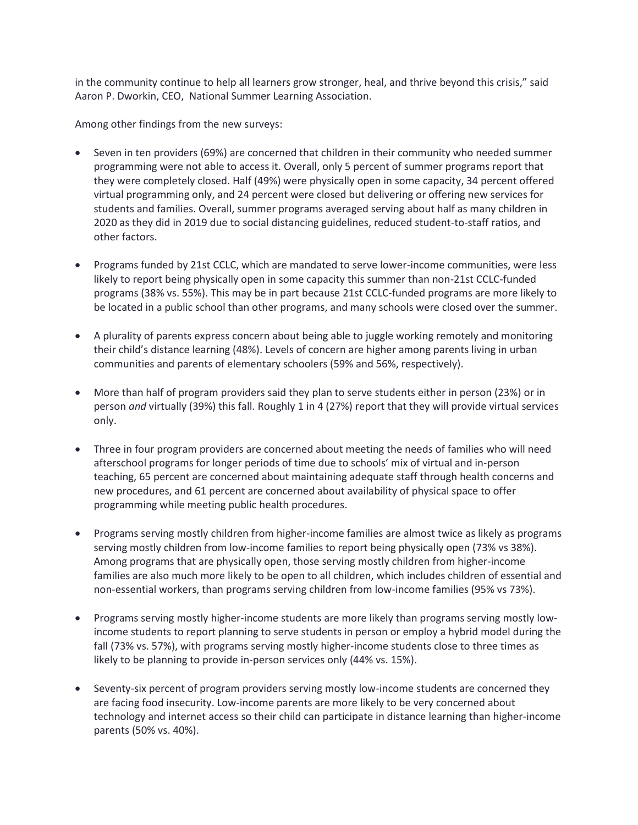in the community continue to help all learners grow stronger, heal, and thrive beyond this crisis," said Aaron P. Dworkin, CEO, National Summer Learning Association.

Among other findings from the new surveys:

- Seven in ten providers (69%) are concerned that children in their community who needed summer programming were not able to access it. Overall, only 5 percent of summer programs report that they were completely closed. Half (49%) were physically open in some capacity, 34 percent offered virtual programming only, and 24 percent were closed but delivering or offering new services for students and families. Overall, summer programs averaged serving about half as many children in 2020 as they did in 2019 due to social distancing guidelines, reduced student-to-staff ratios, and other factors.
- Programs funded by 21st CCLC, which are mandated to serve lower-income communities, were less likely to report being physically open in some capacity this summer than non-21st CCLC-funded programs (38% vs. 55%). This may be in part because 21st CCLC-funded programs are more likely to be located in a public school than other programs, and many schools were closed over the summer.
- A plurality of parents express concern about being able to juggle working remotely and monitoring their child's distance learning (48%). Levels of concern are higher among parents living in urban communities and parents of elementary schoolers (59% and 56%, respectively).
- More than half of program providers said they plan to serve students either in person (23%) or in person *and* virtually (39%) this fall. Roughly 1 in 4 (27%) report that they will provide virtual services only.
- Three in four program providers are concerned about meeting the needs of families who will need afterschool programs for longer periods of time due to schools' mix of virtual and in-person teaching, 65 percent are concerned about maintaining adequate staff through health concerns and new procedures, and 61 percent are concerned about availability of physical space to offer programming while meeting public health procedures.
- Programs serving mostly children from higher-income families are almost twice as likely as programs serving mostly children from low-income families to report being physically open (73% vs 38%). Among programs that are physically open, those serving mostly children from higher-income families are also much more likely to be open to all children, which includes children of essential and non-essential workers, than programs serving children from low-income families (95% vs 73%).
- Programs serving mostly higher-income students are more likely than programs serving mostly lowincome students to report planning to serve students in person or employ a hybrid model during the fall (73% vs. 57%), with programs serving mostly higher-income students close to three times as likely to be planning to provide in-person services only (44% vs. 15%).
- Seventy-six percent of program providers serving mostly low-income students are concerned they are facing food insecurity. Low-income parents are more likely to be very concerned about technology and internet access so their child can participate in distance learning than higher-income parents (50% vs. 40%).